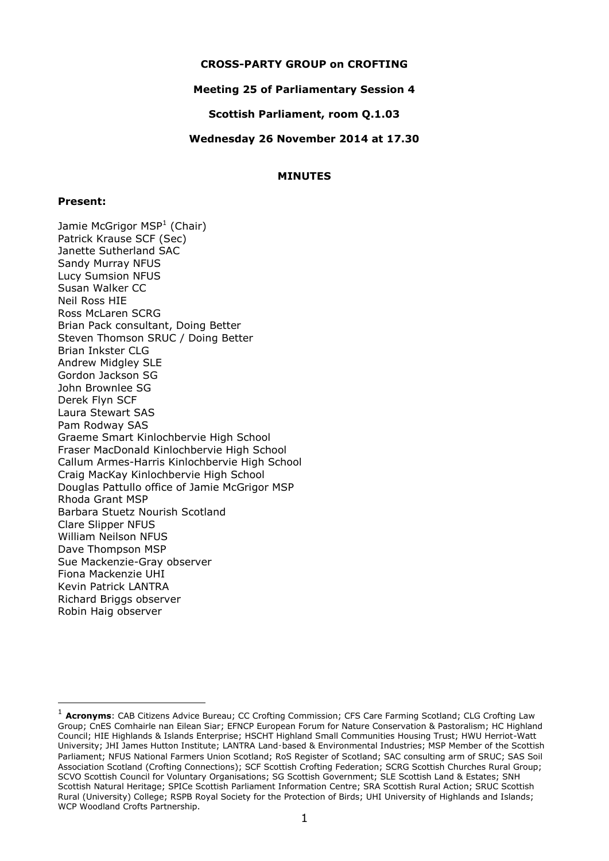### **CROSS-PARTY GROUP on CROFTING**

## **Meeting 25 of Parliamentary Session 4**

### **Scottish Parliament, room Q.1.03**

#### **Wednesday 26 November 2014 at 17.30**

### **MINUTES**

#### **Present:**

-

Jamie McGrigor MSP<sup>1</sup> (Chair) Patrick Krause SCF (Sec) Janette Sutherland SAC Sandy Murray NFUS Lucy Sumsion NFUS Susan Walker CC Neil Ross HIE Ross McLaren SCRG Brian Pack consultant, Doing Better Steven Thomson SRUC / Doing Better Brian Inkster CLG Andrew Midgley SLE Gordon Jackson SG John Brownlee SG Derek Flyn SCF Laura Stewart SAS Pam Rodway SAS Graeme Smart Kinlochbervie High School Fraser MacDonald Kinlochbervie High School Callum Armes-Harris Kinlochbervie High School Craig MacKay Kinlochbervie High School Douglas Pattullo office of Jamie McGrigor MSP Rhoda Grant MSP Barbara Stuetz Nourish Scotland Clare Slipper NFUS William Neilson NFUS Dave Thompson MSP Sue Mackenzie-Gray observer Fiona Mackenzie UHI Kevin Patrick LANTRA Richard Briggs observer Robin Haig observer

<sup>&</sup>lt;sup>1</sup> Acronyms: CAB Citizens Advice Bureau; CC Crofting Commission; CFS Care Farming Scotland; CLG Crofting Law Group; CnES Comhairle nan Eilean Siar; EFNCP European Forum for Nature Conservation & Pastoralism; HC Highland Council; HIE Highlands & Islands Enterprise; HSCHT Highland Small Communities Housing Trust; HWU Herriot-Watt University; JHI James Hutton Institute; LANTRA Land‑based & Environmental Industries; MSP Member of the Scottish Parliament; NFUS National Farmers Union Scotland; RoS Register of Scotland; SAC consulting arm of SRUC; SAS Soil Association Scotland (Crofting Connections); SCF Scottish Crofting Federation; SCRG Scottish Churches Rural Group; SCVO Scottish Council for Voluntary Organisations; SG Scottish Government; SLE Scottish Land & Estates; SNH Scottish Natural Heritage; SPICe Scottish Parliament Information Centre; SRA Scottish Rural Action; SRUC Scottish Rural (University) College; RSPB Royal Society for the Protection of Birds; UHI University of Highlands and Islands; WCP Woodland Crofts Partnership.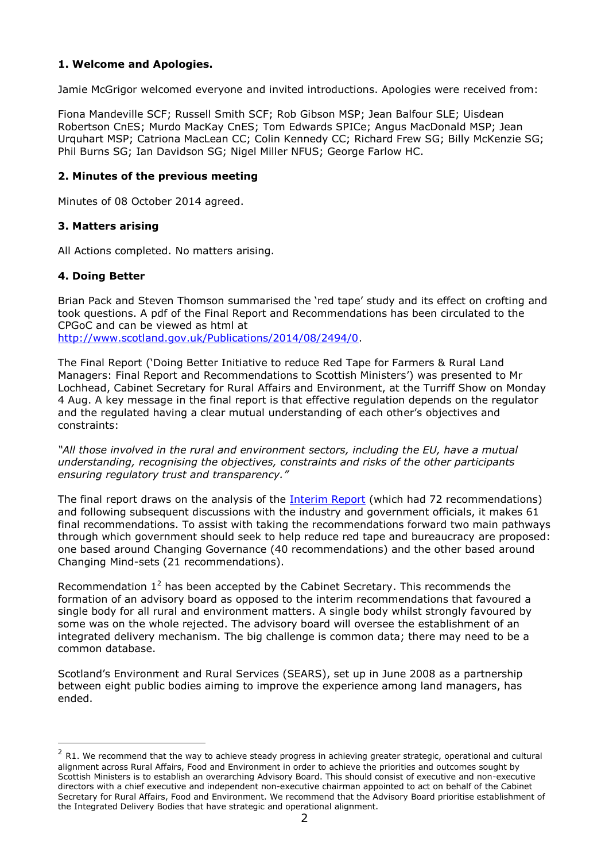# **1. Welcome and Apologies.**

Jamie McGrigor welcomed everyone and invited introductions. Apologies were received from:

Fiona Mandeville SCF; Russell Smith SCF; Rob Gibson MSP; Jean Balfour SLE; Uisdean Robertson CnES; Murdo MacKay CnES; Tom Edwards SPICe; Angus MacDonald MSP; Jean Urquhart MSP; Catriona MacLean CC; Colin Kennedy CC; Richard Frew SG; Billy McKenzie SG; Phil Burns SG; Ian Davidson SG; Nigel Miller NFUS; George Farlow HC.

## **2. Minutes of the previous meeting**

Minutes of 08 October 2014 agreed.

## **3. Matters arising**

All Actions completed. No matters arising.

# **4. Doing Better**

-

Brian Pack and Steven Thomson summarised the 'red tape' study and its effect on crofting and took questions. A pdf of the Final Report and Recommendations has been circulated to the CPGoC and can be viewed as html at [http://www.scotland.gov.uk/Publications/2014/08/2494/0.](http://www.scotland.gov.uk/Publications/2014/08/2494/0)

The Final Report ('Doing Better Initiative to reduce Red Tape for Farmers & Rural Land Managers: Final Report and Recommendations to Scottish Ministers') was presented to Mr Lochhead, Cabinet Secretary for Rural Affairs and Environment, at the Turriff Show on Monday 4 Aug. A key message in the final report is that effective regulation depends on the regulator and the regulated having a clear mutual understanding of each other's objectives and constraints:

*"All those involved in the rural and environment sectors, including the EU, have a mutual understanding, recognising the objectives, constraints and risks of the other participants ensuring regulatory trust and transparency."*

The final report draws on the analysis of the [Interim Report](http://www.scotland.gov.uk/Publications/2013/12/4967) (which had 72 recommendations) and following subsequent discussions with the industry and government officials, it makes 61 final recommendations. To assist with taking the recommendations forward two main pathways through which government should seek to help reduce red tape and bureaucracy are proposed: one based around Changing Governance (40 recommendations) and the other based around Changing Mind-sets (21 recommendations).

Recommendation  $1^2$  has been accepted by the Cabinet Secretary. This recommends the formation of an advisory board as opposed to the interim recommendations that favoured a single body for all rural and environment matters. A single body whilst strongly favoured by some was on the whole rejected. The advisory board will oversee the establishment of an integrated delivery mechanism. The big challenge is common data; there may need to be a common database.

Scotland's Environment and Rural Services (SEARS), set up in June 2008 as a partnership between eight public bodies aiming to improve the experience among land managers, has ended.

 $2$  R1. We recommend that the way to achieve steady progress in achieving greater strategic, operational and cultural alignment across Rural Affairs, Food and Environment in order to achieve the priorities and outcomes sought by Scottish Ministers is to establish an overarching Advisory Board. This should consist of executive and non-executive directors with a chief executive and independent non-executive chairman appointed to act on behalf of the Cabinet Secretary for Rural Affairs, Food and Environment. We recommend that the Advisory Board prioritise establishment of the Integrated Delivery Bodies that have strategic and operational alignment.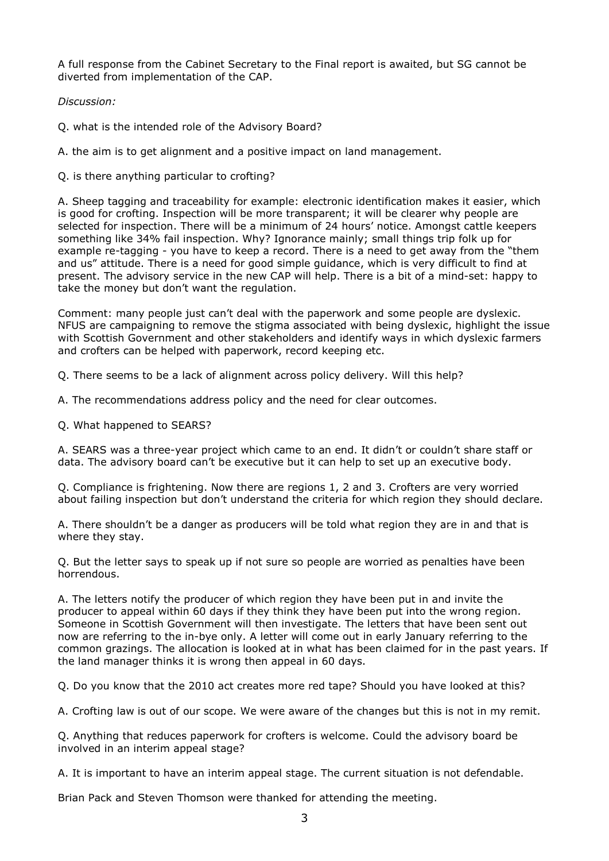A full response from the Cabinet Secretary to the Final report is awaited, but SG cannot be diverted from implementation of the CAP.

*Discussion:*

Q. what is the intended role of the Advisory Board?

A. the aim is to get alignment and a positive impact on land management.

Q. is there anything particular to crofting?

A. Sheep tagging and traceability for example: electronic identification makes it easier, which is good for crofting. Inspection will be more transparent; it will be clearer why people are selected for inspection. There will be a minimum of 24 hours' notice. Amongst cattle keepers something like 34% fail inspection. Why? Ignorance mainly; small things trip folk up for example re-tagging - you have to keep a record. There is a need to get away from the "them and us" attitude. There is a need for good simple guidance, which is very difficult to find at present. The advisory service in the new CAP will help. There is a bit of a mind-set: happy to take the money but don't want the regulation.

Comment: many people just can't deal with the paperwork and some people are dyslexic. NFUS are campaigning to remove the stigma associated with being dyslexic, highlight the issue with Scottish Government and other stakeholders and identify ways in which dyslexic farmers and crofters can be helped with paperwork, record keeping etc.

Q. There seems to be a lack of alignment across policy delivery. Will this help?

A. The recommendations address policy and the need for clear outcomes.

Q. What happened to SEARS?

A. SEARS was a three-year project which came to an end. It didn't or couldn't share staff or data. The advisory board can't be executive but it can help to set up an executive body.

Q. Compliance is frightening. Now there are regions 1, 2 and 3. Crofters are very worried about failing inspection but don't understand the criteria for which region they should declare.

A. There shouldn't be a danger as producers will be told what region they are in and that is where they stay.

Q. But the letter says to speak up if not sure so people are worried as penalties have been horrendous.

A. The letters notify the producer of which region they have been put in and invite the producer to appeal within 60 days if they think they have been put into the wrong region. Someone in Scottish Government will then investigate. The letters that have been sent out now are referring to the in-bye only. A letter will come out in early January referring to the common grazings. The allocation is looked at in what has been claimed for in the past years. If the land manager thinks it is wrong then appeal in 60 days.

Q. Do you know that the 2010 act creates more red tape? Should you have looked at this?

A. Crofting law is out of our scope. We were aware of the changes but this is not in my remit.

Q. Anything that reduces paperwork for crofters is welcome. Could the advisory board be involved in an interim appeal stage?

A. It is important to have an interim appeal stage. The current situation is not defendable.

Brian Pack and Steven Thomson were thanked for attending the meeting.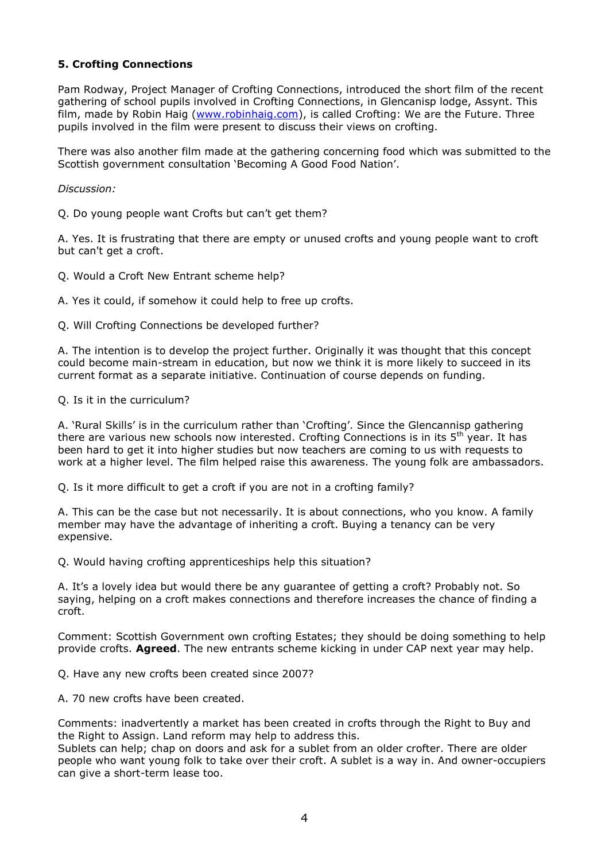# **5. Crofting Connections**

Pam Rodway, Project Manager of Crofting Connections, introduced the short film of the recent gathering of school pupils involved in Crofting Connections, in Glencanisp lodge, Assynt. This film, made by Robin Haig [\(www.robinhaig.com\)](http://www.robinhaig.com/), is called Crofting: We are the Future. Three pupils involved in the film were present to discuss their views on crofting.

There was also another film made at the gathering concerning food which was submitted to the Scottish government consultation 'Becoming A Good Food Nation'.

## *Discussion:*

Q. Do young people want Crofts but can't get them?

A. Yes. It is frustrating that there are empty or unused crofts and young people want to croft but can't get a croft.

Q. Would a Croft New Entrant scheme help?

A. Yes it could, if somehow it could help to free up crofts.

Q. Will Crofting Connections be developed further?

A. The intention is to develop the project further. Originally it was thought that this concept could become main-stream in education, but now we think it is more likely to succeed in its current format as a separate initiative. Continuation of course depends on funding.

### Q. Is it in the curriculum?

A. 'Rural Skills' is in the curriculum rather than 'Crofting'. Since the Glencannisp gathering there are various new schools now interested. Crofting Connections is in its  $5<sup>th</sup>$  year. It has been hard to get it into higher studies but now teachers are coming to us with requests to work at a higher level. The film helped raise this awareness. The young folk are ambassadors.

Q. Is it more difficult to get a croft if you are not in a crofting family?

A. This can be the case but not necessarily. It is about connections, who you know. A family member may have the advantage of inheriting a croft. Buying a tenancy can be very expensive.

Q. Would having crofting apprenticeships help this situation?

A. It's a lovely idea but would there be any guarantee of getting a croft? Probably not. So saying, helping on a croft makes connections and therefore increases the chance of finding a croft.

Comment: Scottish Government own crofting Estates; they should be doing something to help provide crofts. **Agreed**. The new entrants scheme kicking in under CAP next year may help.

Q. Have any new crofts been created since 2007?

A. 70 new crofts have been created.

Comments: inadvertently a market has been created in crofts through the Right to Buy and the Right to Assign. Land reform may help to address this.

Sublets can help; chap on doors and ask for a sublet from an older crofter. There are older people who want young folk to take over their croft. A sublet is a way in. And owner-occupiers can give a short-term lease too.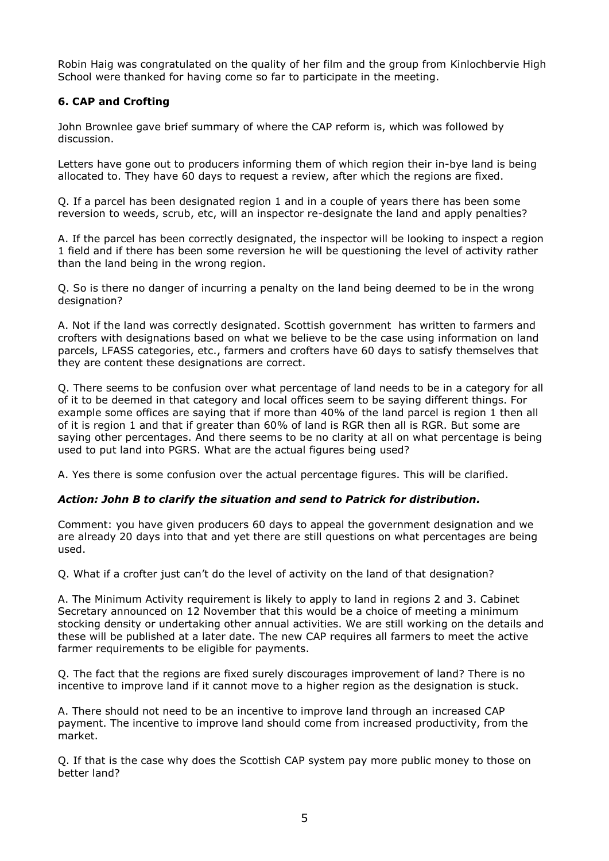Robin Haig was congratulated on the quality of her film and the group from Kinlochbervie High School were thanked for having come so far to participate in the meeting.

# **6. CAP and Crofting**

John Brownlee gave brief summary of where the CAP reform is, which was followed by discussion.

Letters have gone out to producers informing them of which region their in-bye land is being allocated to. They have 60 days to request a review, after which the regions are fixed.

Q. If a parcel has been designated region 1 and in a couple of years there has been some reversion to weeds, scrub, etc, will an inspector re-designate the land and apply penalties?

A. If the parcel has been correctly designated, the inspector will be looking to inspect a region 1 field and if there has been some reversion he will be questioning the level of activity rather than the land being in the wrong region.

Q. So is there no danger of incurring a penalty on the land being deemed to be in the wrong designation?

A. Not if the land was correctly designated. Scottish government has written to farmers and crofters with designations based on what we believe to be the case using information on land parcels, LFASS categories, etc., farmers and crofters have 60 days to satisfy themselves that they are content these designations are correct.

Q. There seems to be confusion over what percentage of land needs to be in a category for all of it to be deemed in that category and local offices seem to be saying different things. For example some offices are saying that if more than 40% of the land parcel is region 1 then all of it is region 1 and that if greater than 60% of land is RGR then all is RGR. But some are saying other percentages. And there seems to be no clarity at all on what percentage is being used to put land into PGRS. What are the actual figures being used?

A. Yes there is some confusion over the actual percentage figures. This will be clarified.

# *Action: John B to clarify the situation and send to Patrick for distribution.*

Comment: you have given producers 60 days to appeal the government designation and we are already 20 days into that and yet there are still questions on what percentages are being used.

Q. What if a crofter just can't do the level of activity on the land of that designation?

A. The Minimum Activity requirement is likely to apply to land in regions 2 and 3. Cabinet Secretary announced on 12 November that this would be a choice of meeting a minimum stocking density or undertaking other annual activities. We are still working on the details and these will be published at a later date. The new CAP requires all farmers to meet the active farmer requirements to be eligible for payments.

Q. The fact that the regions are fixed surely discourages improvement of land? There is no incentive to improve land if it cannot move to a higher region as the designation is stuck.

A. There should not need to be an incentive to improve land through an increased CAP payment. The incentive to improve land should come from increased productivity, from the market.

Q. If that is the case why does the Scottish CAP system pay more public money to those on better land?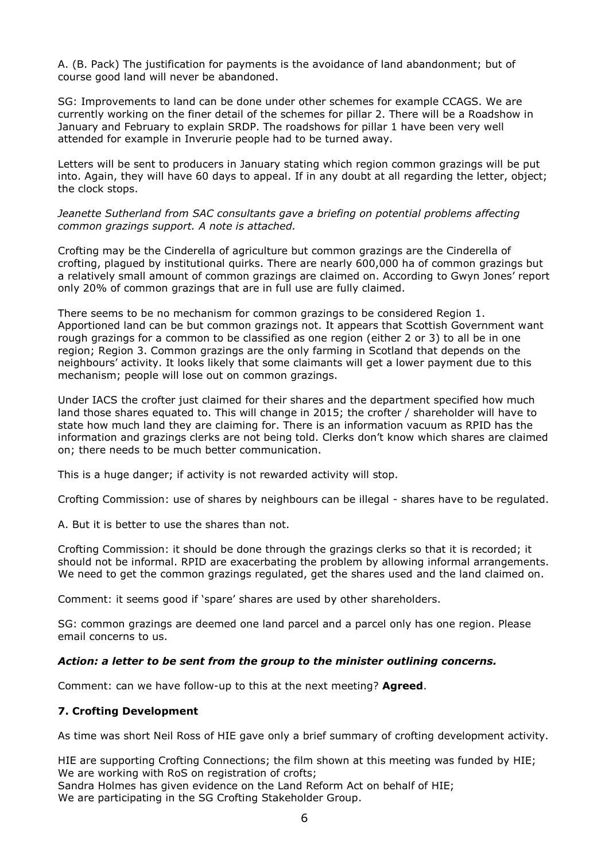A. (B. Pack) The justification for payments is the avoidance of land abandonment; but of course good land will never be abandoned.

SG: Improvements to land can be done under other schemes for example CCAGS. We are currently working on the finer detail of the schemes for pillar 2. There will be a Roadshow in January and February to explain SRDP. The roadshows for pillar 1 have been very well attended for example in Inverurie people had to be turned away.

Letters will be sent to producers in January stating which region common grazings will be put into. Again, they will have 60 days to appeal. If in any doubt at all regarding the letter, object; the clock stops.

*Jeanette Sutherland from SAC consultants gave a briefing on potential problems affecting common grazings support. A note is attached.*

Crofting may be the Cinderella of agriculture but common grazings are the Cinderella of crofting, plagued by institutional quirks. There are nearly 600,000 ha of common grazings but a relatively small amount of common grazings are claimed on. According to Gwyn Jones' report only 20% of common grazings that are in full use are fully claimed.

There seems to be no mechanism for common grazings to be considered Region 1. Apportioned land can be but common grazings not. It appears that Scottish Government want rough grazings for a common to be classified as one region (either 2 or 3) to all be in one region; Region 3. Common grazings are the only farming in Scotland that depends on the neighbours' activity. It looks likely that some claimants will get a lower payment due to this mechanism; people will lose out on common grazings.

Under IACS the crofter just claimed for their shares and the department specified how much land those shares equated to. This will change in 2015; the crofter / shareholder will have to state how much land they are claiming for. There is an information vacuum as RPID has the information and grazings clerks are not being told. Clerks don't know which shares are claimed on; there needs to be much better communication.

This is a huge danger; if activity is not rewarded activity will stop.

Crofting Commission: use of shares by neighbours can be illegal - shares have to be regulated.

A. But it is better to use the shares than not.

Crofting Commission: it should be done through the grazings clerks so that it is recorded; it should not be informal. RPID are exacerbating the problem by allowing informal arrangements. We need to get the common grazings regulated, get the shares used and the land claimed on.

Comment: it seems good if 'spare' shares are used by other shareholders.

SG: common grazings are deemed one land parcel and a parcel only has one region. Please email concerns to us.

## *Action: a letter to be sent from the group to the minister outlining concerns.*

Comment: can we have follow-up to this at the next meeting? **Agreed**.

## **7. Crofting Development**

As time was short Neil Ross of HIE gave only a brief summary of crofting development activity.

HIE are supporting Crofting Connections; the film shown at this meeting was funded by HIE; We are working with RoS on registration of crofts; Sandra Holmes has given evidence on the Land Reform Act on behalf of HIE;

We are participating in the SG Crofting Stakeholder Group.